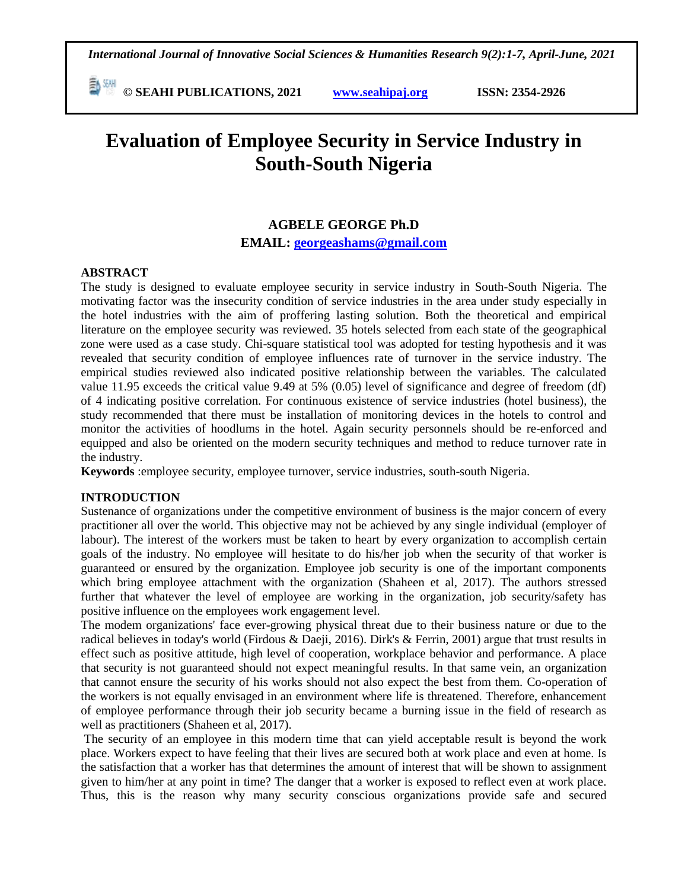*International Journal of Innovative Social Sciences & Humanities Research 9(2):1-7, April-June, 2021*

 **© SEAHI PUBLICATIONS, 2021 [www.seahipaj.org](http://www.seahipaj.org/) ISSN: 2354-2926** 

# **Evaluation of Employee Security in Service Industry in South-South Nigeria**

## **AGBELE GEORGE Ph.D**

**EMAIL: [georgeashams@gmail.com](mailto:georgeashams@gmail.com)**

## **ABSTRACT**

The study is designed to evaluate employee security in service industry in South-South Nigeria. The motivating factor was the insecurity condition of service industries in the area under study especially in the hotel industries with the aim of proffering lasting solution. Both the theoretical and empirical literature on the employee security was reviewed. 35 hotels selected from each state of the geographical zone were used as a case study. Chi-square statistical tool was adopted for testing hypothesis and it was revealed that security condition of employee influences rate of turnover in the service industry. The empirical studies reviewed also indicated positive relationship between the variables. The calculated value 11.95 exceeds the critical value 9.49 at 5% (0.05) level of significance and degree of freedom (df) of 4 indicating positive correlation. For continuous existence of service industries (hotel business), the study recommended that there must be installation of monitoring devices in the hotels to control and monitor the activities of hoodlums in the hotel. Again security personnels should be re-enforced and equipped and also be oriented on the modern security techniques and method to reduce turnover rate in the industry.

**Keywords** :employee security, employee turnover, service industries, south-south Nigeria.

## **INTRODUCTION**

Sustenance of organizations under the competitive environment of business is the major concern of every practitioner all over the world. This objective may not be achieved by any single individual (employer of labour). The interest of the workers must be taken to heart by every organization to accomplish certain goals of the industry. No employee will hesitate to do his/her job when the security of that worker is guaranteed or ensured by the organization. Employee job security is one of the important components which bring employee attachment with the organization (Shaheen et al, 2017). The authors stressed further that whatever the level of employee are working in the organization, job security/safety has positive influence on the employees work engagement level.

The modem organizations' face ever-growing physical threat due to their business nature or due to the radical believes in today's world (Firdous & Daeji, 2016). Dirk's & Ferrin, 2001) argue that trust results in effect such as positive attitude, high level of cooperation, workplace behavior and performance. A place that security is not guaranteed should not expect meaningful results. In that same vein, an organization that cannot ensure the security of his works should not also expect the best from them. Co-operation of the workers is not equally envisaged in an environment where life is threatened. Therefore, enhancement of employee performance through their job security became a burning issue in the field of research as well as practitioners (Shaheen et al, 2017).

The security of an employee in this modern time that can yield acceptable result is beyond the work place. Workers expect to have feeling that their lives are secured both at work place and even at home. Is the satisfaction that a worker has that determines the amount of interest that will be shown to assignment given to him/her at any point in time? The danger that a worker is exposed to reflect even at work place. Thus, this is the reason why many security conscious organizations provide safe and secured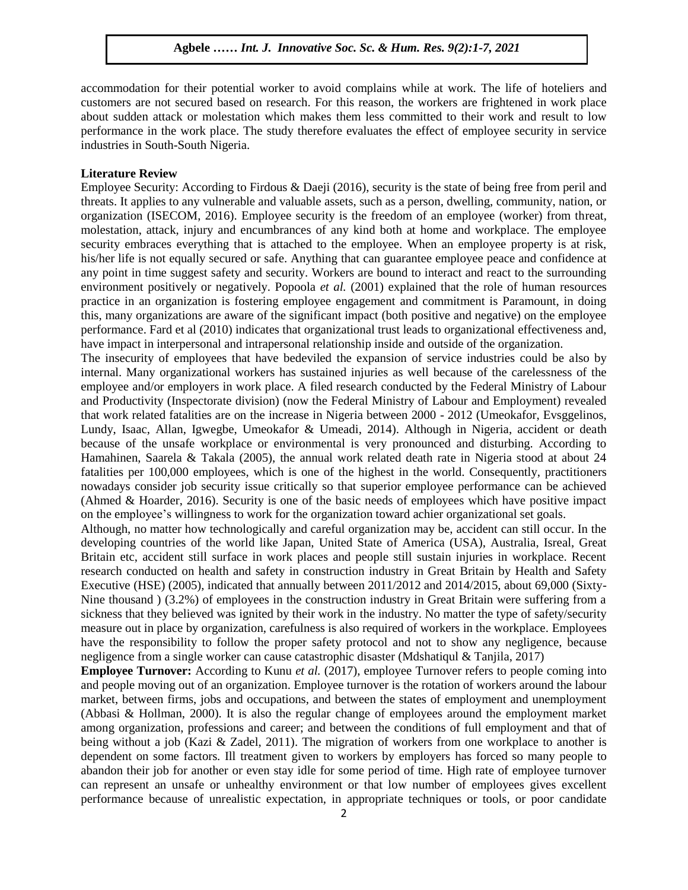accommodation for their potential worker to avoid complains while at work. The life of hoteliers and customers are not secured based on research. For this reason, the workers are frightened in work place about sudden attack or molestation which makes them less committed to their work and result to low performance in the work place. The study therefore evaluates the effect of employee security in service industries in South-South Nigeria.

#### **Literature Review**

Employee Security: According to Firdous & Daeji (2016), security is the state of being free from peril and threats. It applies to any vulnerable and valuable assets, such as a person, dwelling, community, nation, or organization (ISECOM, 2016). Employee security is the freedom of an employee (worker) from threat, molestation, attack, injury and encumbrances of any kind both at home and workplace. The employee security embraces everything that is attached to the employee. When an employee property is at risk, his/her life is not equally secured or safe. Anything that can guarantee employee peace and confidence at any point in time suggest safety and security. Workers are bound to interact and react to the surrounding environment positively or negatively. Popoola *et al.* (2001) explained that the role of human resources practice in an organization is fostering employee engagement and commitment is Paramount, in doing this, many organizations are aware of the significant impact (both positive and negative) on the employee performance. Fard et al (2010) indicates that organizational trust leads to organizational effectiveness and, have impact in interpersonal and intrapersonal relationship inside and outside of the organization.

The insecurity of employees that have bedeviled the expansion of service industries could be also by internal. Many organizational workers has sustained injuries as well because of the carelessness of the employee and/or employers in work place. A filed research conducted by the Federal Ministry of Labour and Productivity (Inspectorate division) (now the Federal Ministry of Labour and Employment) revealed that work related fatalities are on the increase in Nigeria between 2000 - 2012 (Umeokafor, Evsggelinos, Lundy, Isaac, Allan, Igwegbe, Umeokafor & Umeadi, 2014). Although in Nigeria, accident or death because of the unsafe workplace or environmental is very pronounced and disturbing. According to Hamahinen, Saarela & Takala (2005), the annual work related death rate in Nigeria stood at about 24 fatalities per 100,000 employees, which is one of the highest in the world. Consequently, practitioners nowadays consider job security issue critically so that superior employee performance can be achieved (Ahmed & Hoarder, 2016). Security is one of the basic needs of employees which have positive impact on the employee's willingness to work for the organization toward achier organizational set goals.

Although, no matter how technologically and careful organization may be, accident can still occur. In the developing countries of the world like Japan, United State of America (USA), Australia, Isreal, Great Britain etc, accident still surface in work places and people still sustain injuries in workplace. Recent research conducted on health and safety in construction industry in Great Britain by Health and Safety Executive (HSE) (2005), indicated that annually between 2011/2012 and 2014/2015, about 69,000 (Sixty-Nine thousand ) (3.2%) of employees in the construction industry in Great Britain were suffering from a sickness that they believed was ignited by their work in the industry. No matter the type of safety/security measure out in place by organization, carefulness is also required of workers in the workplace. Employees have the responsibility to follow the proper safety protocol and not to show any negligence, because negligence from a single worker can cause catastrophic disaster (Mdshatiqul & Tanjila, 2017)

**Employee Turnover:** According to Kunu *et al.* (2017), employee Turnover refers to people coming into and people moving out of an organization. Employee turnover is the rotation of workers around the labour market, between firms, jobs and occupations, and between the states of employment and unemployment (Abbasi & Hollman, 2000). It is also the regular change of employees around the employment market among organization, professions and career; and between the conditions of full employment and that of being without a job (Kazi & Zadel, 2011). The migration of workers from one workplace to another is dependent on some factors. Ill treatment given to workers by employers has forced so many people to abandon their job for another or even stay idle for some period of time. High rate of employee turnover can represent an unsafe or unhealthy environment or that low number of employees gives excellent performance because of unrealistic expectation, in appropriate techniques or tools, or poor candidate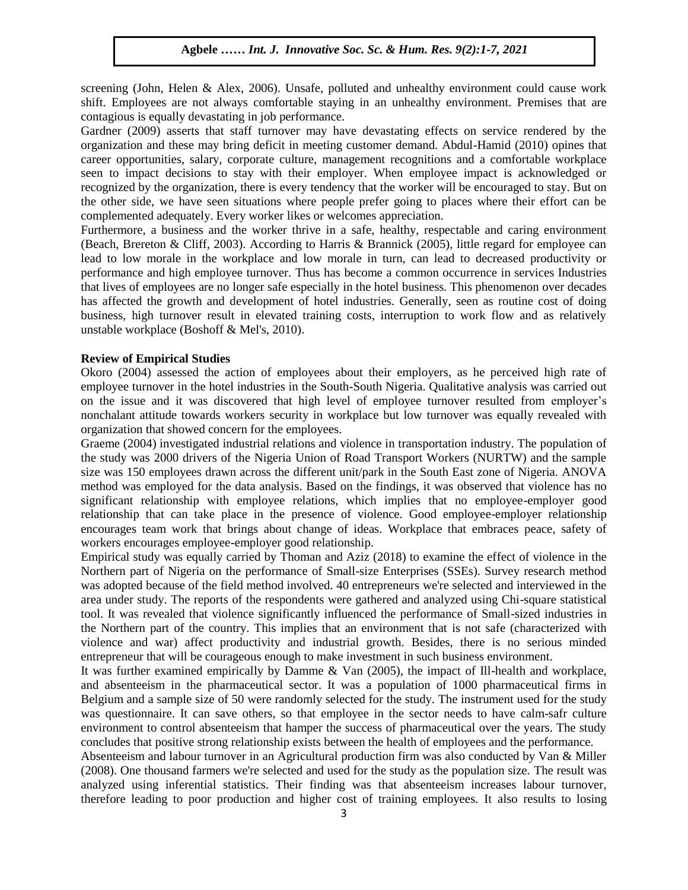screening (John, Helen & Alex, 2006). Unsafe, polluted and unhealthy environment could cause work shift. Employees are not always comfortable staying in an unhealthy environment. Premises that are contagious is equally devastating in job performance.

Gardner (2009) asserts that staff turnover may have devastating effects on service rendered by the organization and these may bring deficit in meeting customer demand. Abdul-Hamid (2010) opines that career opportunities, salary, corporate culture, management recognitions and a comfortable workplace seen to impact decisions to stay with their employer. When employee impact is acknowledged or recognized by the organization, there is every tendency that the worker will be encouraged to stay. But on the other side, we have seen situations where people prefer going to places where their effort can be complemented adequately. Every worker likes or welcomes appreciation.

Furthermore, a business and the worker thrive in a safe, healthy, respectable and caring environment (Beach, Brereton & Cliff, 2003). According to Harris & Brannick (2005), little regard for employee can lead to low morale in the workplace and low morale in turn, can lead to decreased productivity or performance and high employee turnover. Thus has become a common occurrence in services Industries that lives of employees are no longer safe especially in the hotel business. This phenomenon over decades has affected the growth and development of hotel industries. Generally, seen as routine cost of doing business, high turnover result in elevated training costs, interruption to work flow and as relatively unstable workplace (Boshoff & Mel's, 2010).

### **Review of Empirical Studies**

Okoro (2004) assessed the action of employees about their employers, as he perceived high rate of employee turnover in the hotel industries in the South-South Nigeria. Qualitative analysis was carried out the Mu on the issue and it was discovered that high level of employee turnover resulted from employer's nonchalant attitude towards workers security in workplace but low turnover was equally revealed with organization that showed concern for the employees.

Graeme (2004) investigated industrial relations and violence in transportation industry. The population of  $\Omega_{\text{max}} \sim 2000$ the study was 2000 drivers of the Nigeria Union of Road Transport Workers (NURTW) and the sample size was 150 employees drawn across the different unit/park in the South East zone of Nigeria. ANOVA method was employed for the data analysis. Based on the findings, it was observed that violence has no significant relationship with employee relations, which implies that no employee-employer good relationship that can take place in the presence of violence. Good employee-employer relationship encourages team work that brings about change of ideas. Workplace that embraces peace, safety of workers encourages employee-employer good relationship.

Empirical study was equally carried by Thoman and Aziz (2018) to examine the effect of violence in the Northern part of Nigeria on the performance of Small-size Enterprises (SSEs). Survey research method was adopted because of the field method involved. 40 entrepreneurs we're selected and interviewed in the area under study. The reports of the respondents were gathered and analyzed using Chi-square statistical tool. It was revealed that violence significantly influenced the performance of Small-sized industries in the Northern part of the country. This implies that an environment that is not safe (characterized with violence and war) affect productivity and industrial growth. Besides, there is no serious minded entrepreneur that will be courageous enough to make investment in such business environment.

It was further examined empirically by Damme & Van (2005), the impact of Ill-health and workplace, and absenteeism in the pharmaceutical sector. It was a population of 1000 pharmaceutical firms in Belgium and a sample size of 50 were randomly selected for the study. The instrument used for the study was questionnaire. It can save others, so that employee in the sector needs to have calm-safr culture environment to control absenteeism that hamper the success of pharmaceutical over the years. The study concludes that positive strong relationship exists between the health of employees and the performance.

Absenteeism and labour turnover in an Agricultural production firm was also conducted by Van & Miller (2008). One thousand farmers we're selected and used for the study as the population size. The result was analyzed using inferential statistics. Their finding was that absenteeism increases labour turnover, therefore leading to poor production and higher cost of training employees. It also results to losing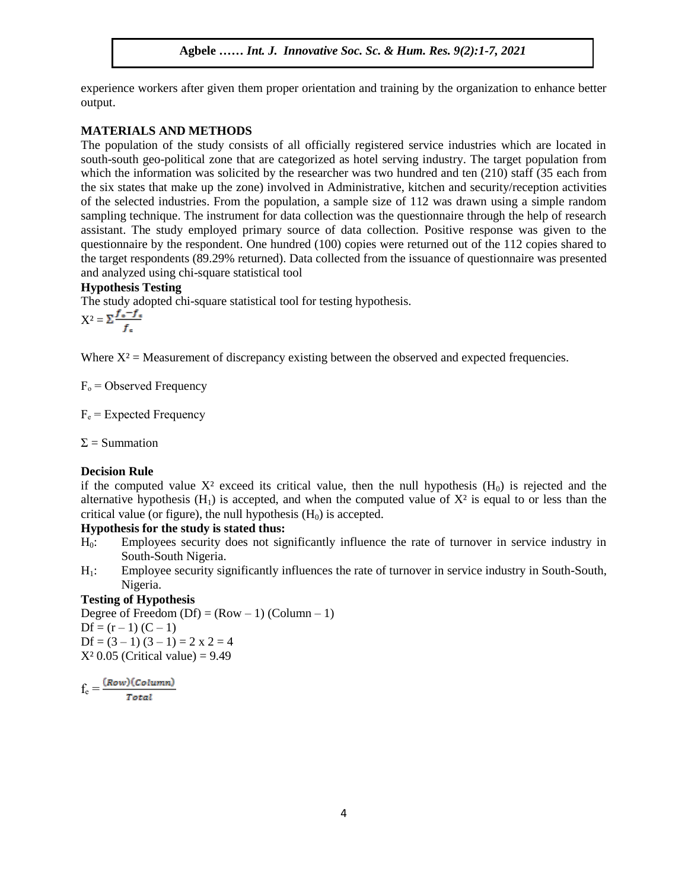experience workers after given them proper orientation and training by the organization to enhance better output.

### **MATERIALS AND METHODS**

The population of the study consists of all officially registered service industries which are located in south-south geo-political zone that are categorized as hotel serving industry. The target population from south-south geo-portical zone that are categorized as noted serving mudstry. The target population from which the information was solicited by the researcher was two hundred and ten (210) staff (35 each from the six states that make up the zone) involved in Administrative, kitchen and security/reception activities of the selected industries. From the population, a sample size of 112 was drawn using a simple random sampling technique. The instrument for data collection was the questionnaire through the help of research sampling technique. The instrument for data collection was the questionnane unough the help of research<br>assistant. The study employed primary source of data collection. Positive response was given to the questionnaire by the respondent. One hundred (100) copies were returned out of the 112 copies shared to the target respondents (89.29% returned). Data collected from the issuance of questionnaire was presented and analyzed using chi-square statistical tool<br>Humetharis Testing

## **Hypothesis Testing**

The study adopted chi-square statistical tool for testing hypothesis.

 $X^2 = \Sigma \frac{f_\circ - f_\circ}{f}$  $\mathcal{A}$  ,  $\mathcal{A}$  ,  $\mathcal{A}$  ,  $\mathcal{A}$  ,  $\mathcal{A}$  ,  $\mathcal{A}$  ,  $\mathcal{A}$  ,  $\mathcal{A}$  ,  $\mathcal{A}$  ,  $\mathcal{A}$  ,  $\mathcal{A}$  ,  $\mathcal{A}$  ,  $\mathcal{A}$  ,  $\mathcal{A}$  ,  $\mathcal{A}$  ,  $\mathcal{A}$  ,  $\mathcal{A}$  ,  $\mathcal{A}$  ,  $\mathcal{A}$  ,  $\mathcal{A}$  ,

Where  $X^2$  = Measurement of discrepancy existing between the observed and expected frequencies.

 $F_0$  = Observed Frequency  $\frac{1}{\sqrt{2}}$ 

 $F_e$  = Expected Frequency

 $\Sigma$  = Summation  $\mathcal{L}$  and  $\mathcal{L}$  is the Soc. Sc.  $\mathcal{L}$  in the set of  $\mathcal{L}$  is the set of  $\mathcal{L}$ 

#### **Decision Rule**

if the computed value  $X^2$  exceed its critical value, then the null hypothesis  $(H_0)$  is rejected and the alternative hypothesis  $(H_1)$  is accepted, and when the computed value of  $X^2$  is equal to or less than the critical value (or figure), the null hypothesis  $(H_0)$  is accepted.

## **Hypothesis for the study is stated thus:**

- H0: Employees security does not significantly influence the rate of turnover in service industry in South-South Nigeria.
- H1: Employee security significantly influences the rate of turnover in service industry in South-South, Nigeria.

## **Testing of Hypothesis**

Degree of Freedom  $(Df) = (Row - 1) (Column - 1)$  $Df = (r - 1) (C - 1)$  $Df = (3 - 1) (3 - 1) = 2 \times 2 = 4$  $X^2$  0.05 (Critical value) = 9.49

$$
f_e = \frac{(Row)(Column)}{Total}
$$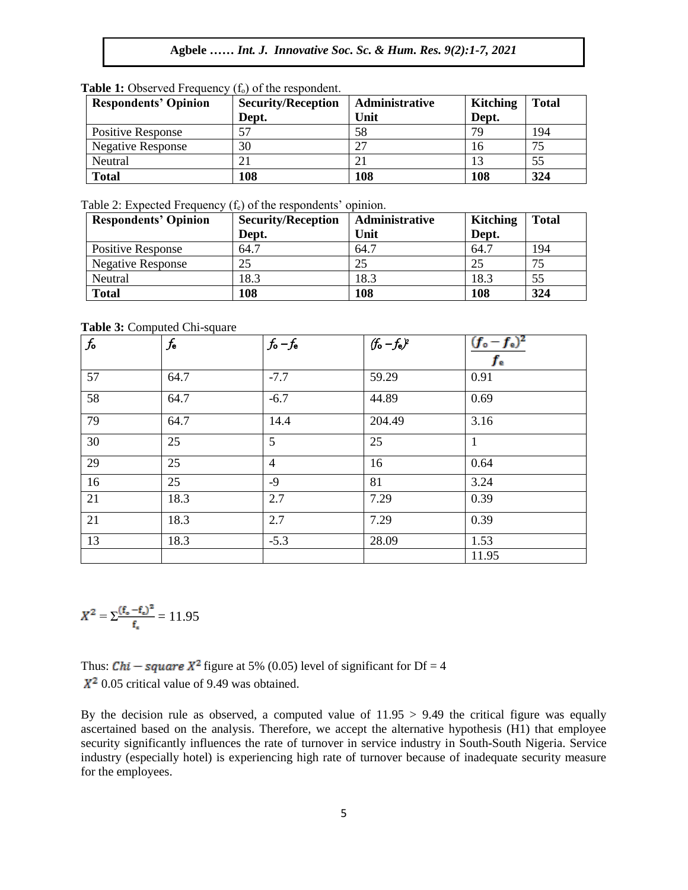| <b>Respondents' Opinion</b> | <b>Security/Reception</b> | <b>Administrative</b> | <b>Kitching</b> | <b>Total</b> |
|-----------------------------|---------------------------|-----------------------|-----------------|--------------|
|                             | Dept.                     | Unit                  | Dept.           |              |
| <b>Positive Response</b>    |                           | 58                    | 79              | 194          |
| <b>Negative Response</b>    | 30                        | ີ                     |                 | ヮ            |
| Neutral                     |                           |                       |                 | 55           |
| <b>Total</b>                | 108                       | 108                   | 108             | 324          |

**Table 1:** Observed Frequency (f<sub>o</sub>) of the respondent.

Table 2: Expected Frequency  $(f_e)$  of the respondents' opinion.

| <b>Respondents' Opinion</b> | <b>Security/Reception</b> | Administrative | <b>Kitching</b> | <b>Total</b> |
|-----------------------------|---------------------------|----------------|-----------------|--------------|
|                             | Dept.                     | Unit           | Dept.           |              |
| <b>Positive Response</b>    | 64.7                      | 64.7           | 64.7            | 194          |
| <b>Negative Response</b>    | 25                        | 25             | 25              | 75           |
| Neutral                     | 18.3                      | 18.3           | 18.3            | 55           |
| <b>Total</b>                | 108                       | 108            | 108             | 324          |

## **Table 3:** Computed Chi-square

|         | <b>Tuble of Compared Cm Square</b> |                 |               |                                |
|---------|------------------------------------|-----------------|---------------|--------------------------------|
| $f_{o}$ | $f_{\rm e}$                        | $f_{o} - f_{e}$ | $(f_0-f_e)^2$ | $(f_o - f_e)^2$<br>$f_{\rm e}$ |
| 57      | 64.7                               | $-7.7$          | 59.29         | 0.91                           |
| 58      | 64.7                               | $-6.7$          | 44.89         | 0.69                           |
| 79      | 64.7                               | 14.4            | 204.49        | 3.16                           |
| 30      | 25                                 | 5               | 25            | 1                              |
| 29      | 25                                 | $\overline{4}$  | 16            | 0.64                           |
| 16      | 25                                 | $-9$            | 81            | 3.24                           |
| 21      | 18.3                               | 2.7             | 7.29          | 0.39                           |
| 21      | 18.3                               | 2.7             | 7.29          | 0.39                           |
| 13      | 18.3                               | $-5.3$          | 28.09         | 1.53                           |
|         |                                    |                 |               | 11.95                          |

$$
X^2 = \sum \frac{(f_{\circ} - f_{\circ})^2}{f_{\circ}} = 11.95
$$

Thus: *Chi* – *square*  $X^2$  figure at 5% (0.05) level of significant for Df = 4  $X^2$  0.05 critical value of 9.49 was obtained.

By the decision rule as observed, a computed value of 11.95 > 9.49 the critical figure was equally ascertained based on the analysis. Therefore, we accept the alternative hypothesis (H1) that employee security significantly influences the rate of turnover in service industry in South-South Nigeria. Service industry (especially hotel) is experiencing high rate of turnover because of inadequate security measure for the employees.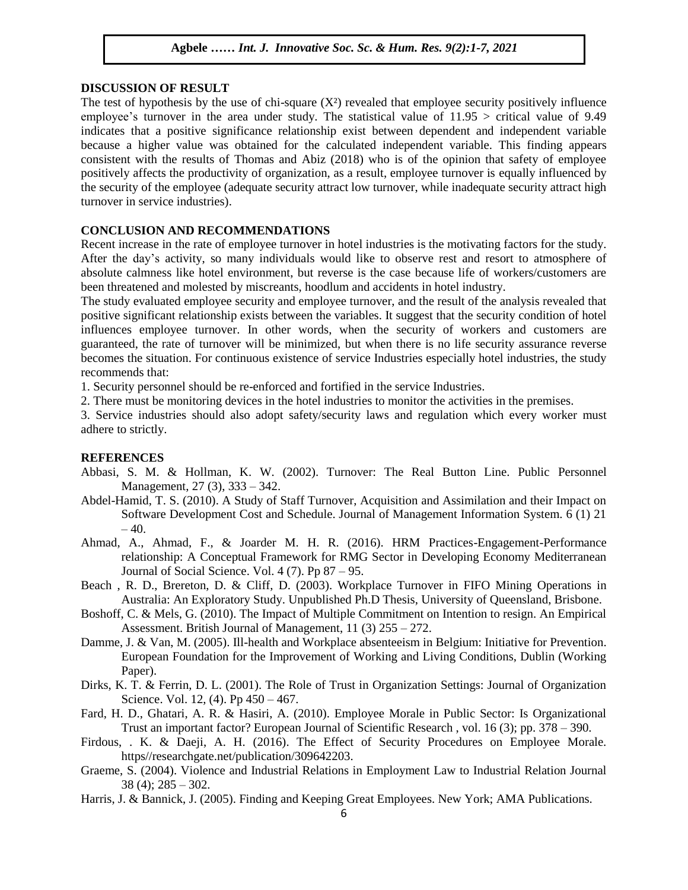#### **DISCUSSION OF RESULT**

The test of hypothesis by the use of chi-square  $(X^2)$  revealed that employee security positively influence employee's turnover in the area under study. The statistical value of 11.95 > critical value of 9.49 indicates that a positive significance relationship exist between dependent and independent variable because a higher value was obtained for the calculated independent variable. This finding appears consistent with the results of Thomas and Abiz (2018) who is of the opinion that safety of employee positively affects the productivity of organization, as a result, employee turnover is equally influenced by the security of the employee (adequate security attract low turnover, while inadequate security attract high turnover in service industries).

#### **CONCLUSION AND RECOMMENDATIONS**

Recent increase in the rate of employee turnover in hotel industries is the motivating factors for the study. After the day's activity, so many individuals would like to observe rest and resort to atmosphere of absolute calmness like hotel environment, but reverse is the case because life of workers/customers are been threatened and molested by miscreants, hoodlum and accidents in hotel industry.

The study evaluated employee security and employee turnover, and the result of the analysis revealed that positive significant relationship exists between the variables. It suggest that the security condition of hotel influences employee turnover. In other words, when the security of workers and customers are guaranteed, the rate of turnover will be minimized, but when there is no life security assurance reverse becomes the situation. For continuous existence of service Industries especially hotel industries, the study recommends that:

1. Security personnel should be re-enforced and fortified in the service Industries.

2. There must be monitoring devices in the hotel industries to monitor the activities in the premises.

3. Service industries should also adopt safety/security laws and regulation which every worker must adhere to strictly.

#### **REFERENCES**  $\mathbf{F}$

- Abbasi, S. M. & Hollman, K. W. (2002). Turnover: The Real Button Line. Public Personnel Management, 27 (3), 333 – 342.
- Abdel-Hamid, T. S. (2010). A Study of Staff Turnover, Acquisition and Assimilation and their Impact on Software Development Cost and Schedule. Journal of Management Information System. 6 (1) 21  $-40.$
- Ahmad, A., Ahmad, F., & Joarder M. H. R. (2016). HRM Practices-Engagement-Performance relationship: A Conceptual Framework for RMG Sector in Developing Economy Mediterranean Journal of Social Science. Vol.  $4(7)$ . Pp  $87 - 95$ .
- Beach , R. D., Brereton, D. & Cliff, D. (2003). Workplace Turnover in FIFO Mining Operations in Australia: An Exploratory Study. Unpublished Ph.D Thesis, University of Queensland, Brisbone.
- Boshoff, C. & Mels, G. (2010). The Impact of Multiple Commitment on Intention to resign. An Empirical Assessment. British Journal of Management, 11 (3) 255 – 272.
- Damme, J. & Van, M. (2005). Ill-health and Workplace absenteeism in Belgium: Initiative for Prevention. European Foundation for the Improvement of Working and Living Conditions, Dublin (Working Paper).
- Dirks, K. T. & Ferrin, D. L. (2001). The Role of Trust in Organization Settings: Journal of Organization Science. Vol. 12, (4). Pp 450 – 467.
- Fard, H. D., Ghatari, A. R. & Hasiri, A. (2010). Employee Morale in Public Sector: Is Organizational Trust an important factor? European Journal of Scientific Research , vol. 16 (3); pp. 378 – 390.
- Firdous, . K. & Daeji, A. H. (2016). The Effect of Security Procedures on Employee Morale. https//researchgate.net/publication/309642203.
- Graeme, S. (2004). Violence and Industrial Relations in Employment Law to Industrial Relation Journal  $38(4)$ ;  $285 - 302$ .
- Harris, J. & Bannick, J. (2005). Finding and Keeping Great Employees. New York; AMA Publications.